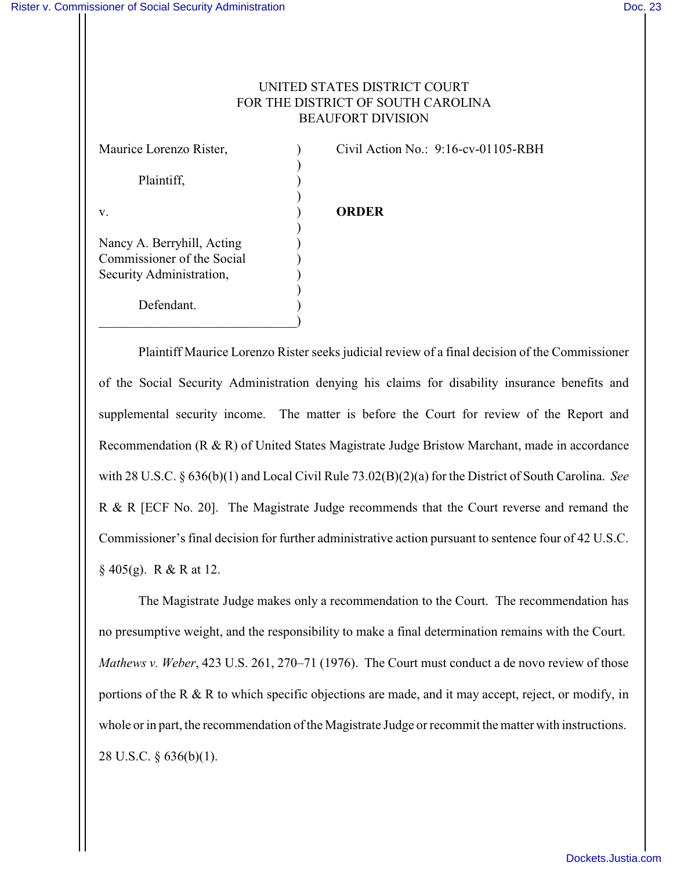## UNITED STATES DISTRICT COURT FOR THE DISTRICT OF SOUTH CAROLINA BEAUFORT DIVISION

) Plaintiff, (a) ) v. ) **ORDER** ) Nancy A. Berryhill, Acting ) Commissioner of the Social ) Security Administration, ) ) Defendant.

 $\qquad \qquad \Box$ 

Maurice Lorenzo Rister, ) Civil Action No.: 9:16-cv-01105-RBH

Plaintiff Maurice Lorenzo Rister seeks judicial review of a final decision of the Commissioner of the Social Security Administration denying his claims for disability insurance benefits and supplemental security income. The matter is before the Court for review of the Report and Recommendation (R & R) of United States Magistrate Judge Bristow Marchant, made in accordance with 28 U.S.C. § 636(b)(1) and Local Civil Rule 73.02(B)(2)(a) for the District of South Carolina. *See* R & R [ECF No. 20]. The Magistrate Judge recommends that the Court reverse and remand the Commissioner's final decision for further administrative action pursuant to sentence four of 42 U.S.C.  $\S$  405(g). R & R at 12.

The Magistrate Judge makes only a recommendation to the Court. The recommendation has no presumptive weight, and the responsibility to make a final determination remains with the Court. *Mathews v. Weber*, 423 U.S. 261, 270–71 (1976). The Court must conduct a de novo review of those portions of the R & R to which specific objections are made, and it may accept, reject, or modify, in whole or in part, the recommendation of the Magistrate Judge or recommit the matter with instructions. 28 U.S.C. § 636(b)(1).